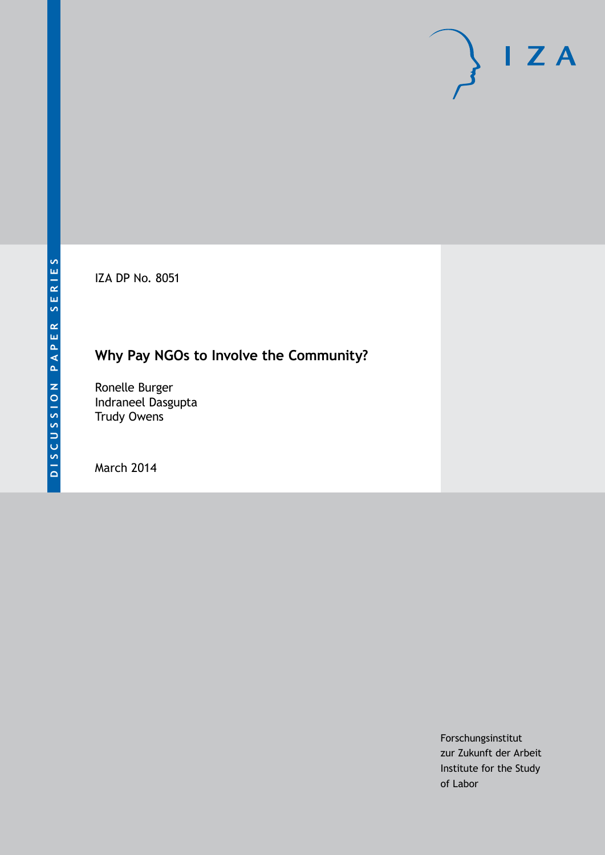IZA DP No. 8051

# **Why Pay NGOs to Involve the Community?**

Ronelle Burger Indraneel Dasgupta Trudy Owens

March 2014

Forschungsinstitut zur Zukunft der Arbeit Institute for the Study of Labor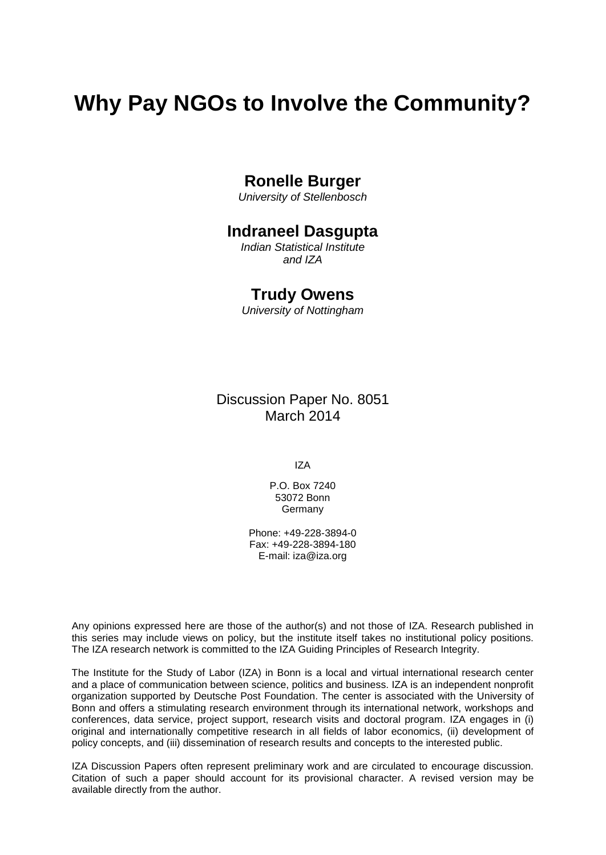# **Why Pay NGOs to Involve the Community?**

### **Ronelle Burger**

*University of Stellenbosch*

### **Indraneel Dasgupta**

*Indian Statistical Institute and IZA*

### **Trudy Owens**

*University of Nottingham*

Discussion Paper No. 8051 March 2014

IZA

P.O. Box 7240 53072 Bonn Germany

Phone: +49-228-3894-0 Fax: +49-228-3894-180 E-mail: [iza@iza.org](mailto:iza@iza.org)

Any opinions expressed here are those of the author(s) and not those of IZA. Research published in this series may include views on policy, but the institute itself takes no institutional policy positions. The IZA research network is committed to the IZA Guiding Principles of Research Integrity.

The Institute for the Study of Labor (IZA) in Bonn is a local and virtual international research center and a place of communication between science, politics and business. IZA is an independent nonprofit organization supported by Deutsche Post Foundation. The center is associated with the University of Bonn and offers a stimulating research environment through its international network, workshops and conferences, data service, project support, research visits and doctoral program. IZA engages in (i) original and internationally competitive research in all fields of labor economics, (ii) development of policy concepts, and (iii) dissemination of research results and concepts to the interested public.

IZA Discussion Papers often represent preliminary work and are circulated to encourage discussion. Citation of such a paper should account for its provisional character. A revised version may be available directly from the author.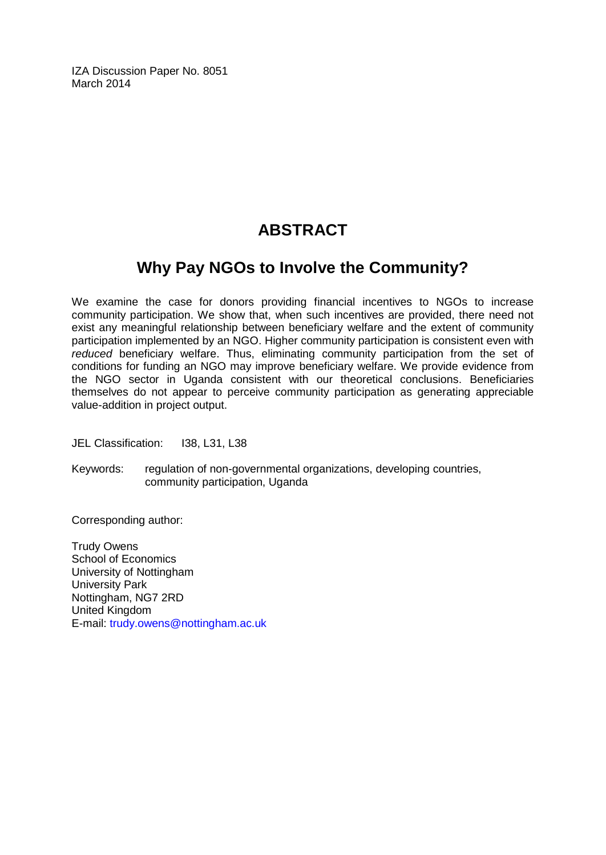IZA Discussion Paper No. 8051 March 2014

# **ABSTRACT**

## **Why Pay NGOs to Involve the Community?**

We examine the case for donors providing financial incentives to NGOs to increase community participation. We show that, when such incentives are provided, there need not exist any meaningful relationship between beneficiary welfare and the extent of community participation implemented by an NGO. Higher community participation is consistent even with *reduced* beneficiary welfare. Thus, eliminating community participation from the set of conditions for funding an NGO may improve beneficiary welfare. We provide evidence from the NGO sector in Uganda consistent with our theoretical conclusions. Beneficiaries themselves do not appear to perceive community participation as generating appreciable value-addition in project output.

JEL Classification: I38, L31, L38

Keywords: regulation of non-governmental organizations, developing countries, community participation, Uganda

Corresponding author:

Trudy Owens School of Economics University of Nottingham University Park Nottingham, NG7 2RD United Kingdom E-mail: [trudy.owens@nottingham.ac.uk](mailto:trudy.owens@nottingham.ac.uk)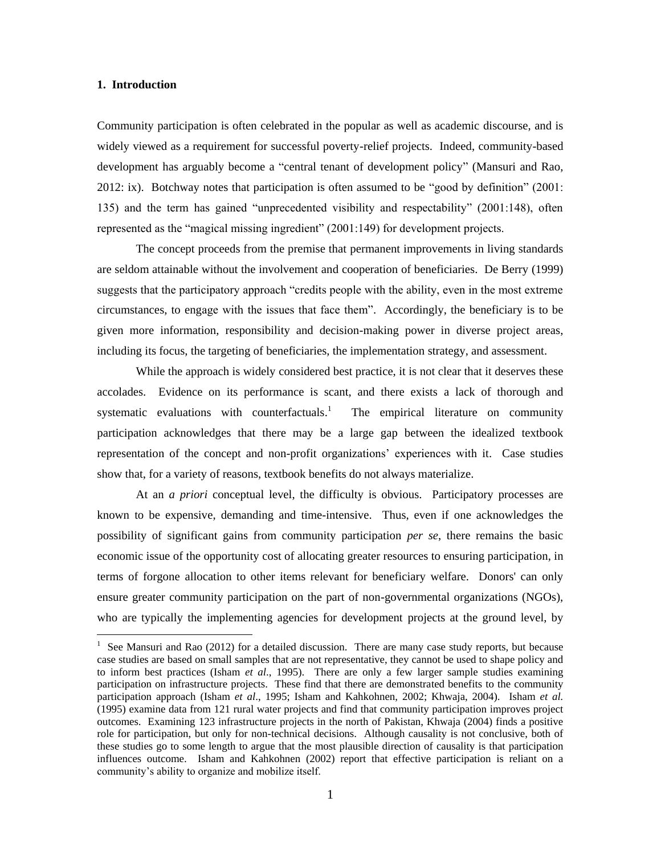#### **1. Introduction**

 $\overline{a}$ 

Community participation is often celebrated in the popular as well as academic discourse, and is widely viewed as a requirement for successful poverty-relief projects. Indeed, community-based development has arguably become a "central tenant of development policy" (Mansuri and Rao, 2012: ix). Botchway notes that participation is often assumed to be "good by definition" (2001: 135) and the term has gained "unprecedented visibility and respectability" (2001:148), often represented as the "magical missing ingredient" (2001:149) for development projects.

The concept proceeds from the premise that permanent improvements in living standards are seldom attainable without the involvement and cooperation of beneficiaries. De Berry (1999) suggests that the participatory approach "credits people with the ability, even in the most extreme circumstances, to engage with the issues that face them". Accordingly, the beneficiary is to be given more information, responsibility and decision-making power in diverse project areas, including its focus, the targeting of beneficiaries, the implementation strategy, and assessment.

While the approach is widely considered best practice, it is not clear that it deserves these accolades. Evidence on its performance is scant, and there exists a lack of thorough and systematic evaluations with counterfactuals.<sup>1</sup> The empirical literature on community participation acknowledges that there may be a large gap between the idealized textbook representation of the concept and non-profit organizations' experiences with it. Case studies show that, for a variety of reasons, textbook benefits do not always materialize.

At an *a priori* conceptual level, the difficulty is obvious. Participatory processes are known to be expensive, demanding and time-intensive. Thus, even if one acknowledges the possibility of significant gains from community participation *per se*, there remains the basic economic issue of the opportunity cost of allocating greater resources to ensuring participation, in terms of forgone allocation to other items relevant for beneficiary welfare. Donors' can only ensure greater community participation on the part of non-governmental organizations (NGOs), who are typically the implementing agencies for development projects at the ground level, by

 $1$  See Mansuri and Rao (2012) for a detailed discussion. There are many case study reports, but because case studies are based on small samples that are not representative, they cannot be used to shape policy and to inform best practices (Isham *et al*., 1995). There are only a few larger sample studies examining participation on infrastructure projects. These find that there are demonstrated benefits to the community participation approach (Isham *et al*., 1995; Isham and Kahkohnen, 2002; Khwaja, 2004). Isham *et al.* (1995) examine data from 121 rural water projects and find that community participation improves project outcomes. Examining 123 infrastructure projects in the north of Pakistan, Khwaja (2004) finds a positive role for participation, but only for non-technical decisions. Although causality is not conclusive, both of these studies go to some length to argue that the most plausible direction of causality is that participation influences outcome. Isham and Kahkohnen (2002) report that effective participation is reliant on a community's ability to organize and mobilize itself.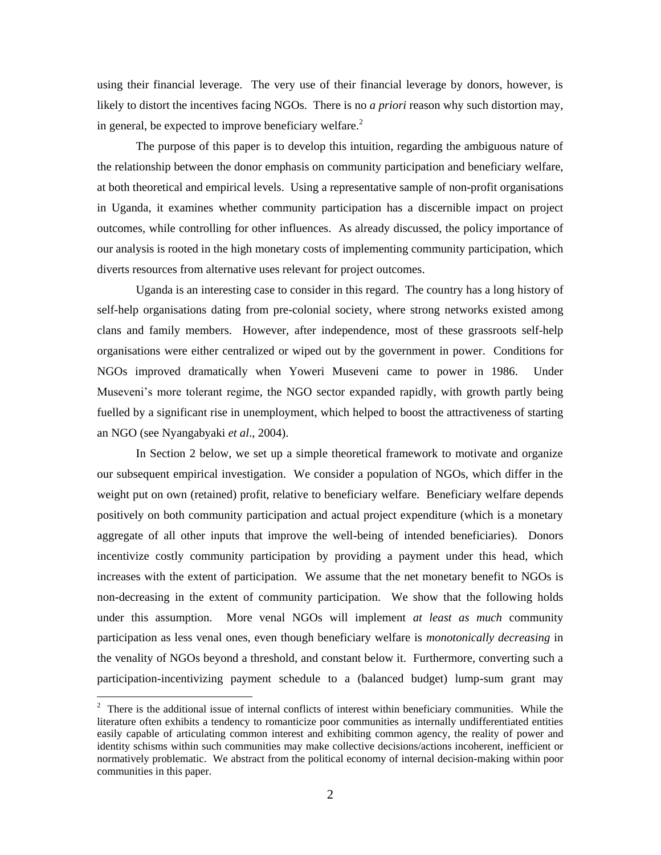using their financial leverage. The very use of their financial leverage by donors, however, is likely to distort the incentives facing NGOs. There is no *a priori* reason why such distortion may, in general, be expected to improve beneficiary welfare. $<sup>2</sup>$ </sup>

The purpose of this paper is to develop this intuition, regarding the ambiguous nature of the relationship between the donor emphasis on community participation and beneficiary welfare, at both theoretical and empirical levels. Using a representative sample of non-profit organisations in Uganda, it examines whether community participation has a discernible impact on project outcomes, while controlling for other influences. As already discussed, the policy importance of our analysis is rooted in the high monetary costs of implementing community participation, which diverts resources from alternative uses relevant for project outcomes.

Uganda is an interesting case to consider in this regard. The country has a long history of self-help organisations dating from pre-colonial society, where strong networks existed among clans and family members. However, after independence, most of these grassroots self-help organisations were either centralized or wiped out by the government in power. Conditions for NGOs improved dramatically when Yoweri Museveni came to power in 1986. Under Museveni's more tolerant regime, the NGO sector expanded rapidly, with growth partly being fuelled by a significant rise in unemployment, which helped to boost the attractiveness of starting an NGO (see Nyangabyaki *et al*., 2004).

In Section 2 below, we set up a simple theoretical framework to motivate and organize our subsequent empirical investigation. We consider a population of NGOs, which differ in the weight put on own (retained) profit, relative to beneficiary welfare. Beneficiary welfare depends positively on both community participation and actual project expenditure (which is a monetary aggregate of all other inputs that improve the well-being of intended beneficiaries). Donors incentivize costly community participation by providing a payment under this head, which increases with the extent of participation. We assume that the net monetary benefit to NGOs is non-decreasing in the extent of community participation. We show that the following holds under this assumption. More venal NGOs will implement *at least as much* community participation as less venal ones, even though beneficiary welfare is *monotonically decreasing* in the venality of NGOs beyond a threshold, and constant below it. Furthermore, converting such a participation-incentivizing payment schedule to a (balanced budget) lump-sum grant may

 $\overline{a}$ 

 $2$  There is the additional issue of internal conflicts of interest within beneficiary communities. While the literature often exhibits a tendency to romanticize poor communities as internally undifferentiated entities easily capable of articulating common interest and exhibiting common agency, the reality of power and identity schisms within such communities may make collective decisions/actions incoherent, inefficient or normatively problematic. We abstract from the political economy of internal decision-making within poor communities in this paper.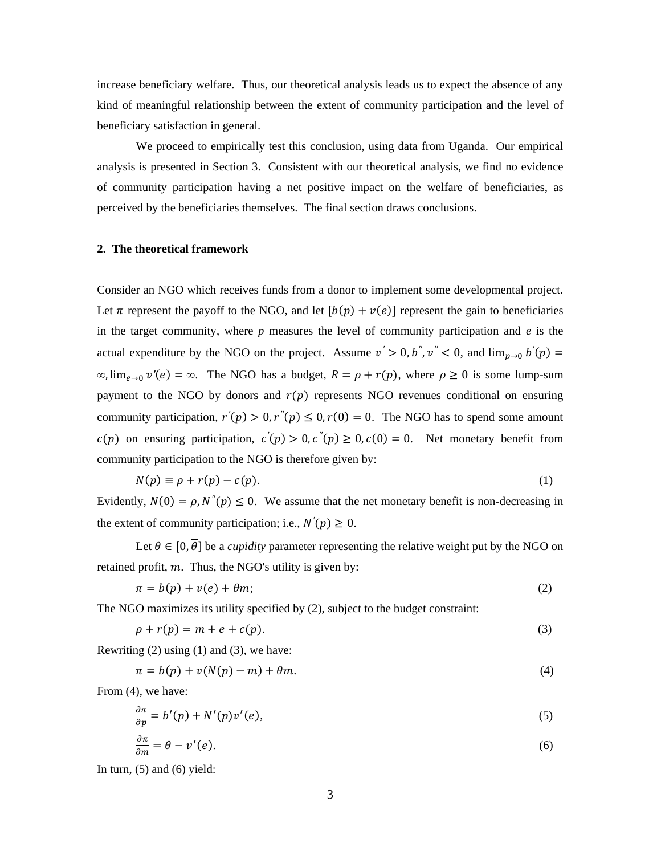increase beneficiary welfare. Thus, our theoretical analysis leads us to expect the absence of any kind of meaningful relationship between the extent of community participation and the level of beneficiary satisfaction in general.

We proceed to empirically test this conclusion, using data from Uganda. Our empirical analysis is presented in Section 3. Consistent with our theoretical analysis, we find no evidence of community participation having a net positive impact on the welfare of beneficiaries, as perceived by the beneficiaries themselves. The final section draws conclusions.

#### **2. The theoretical framework**

Consider an NGO which receives funds from a donor to implement some developmental project. Let  $\pi$  represent the payoff to the NGO, and let  $[b(p) + v(e)]$  represent the gain to beneficiaries in the target community, where *p* measures the level of community participation and *e* is the actual expenditure by the NGO on the project. Assume  $v' > 0$ , b'',  $v'' < 0$ , and  $\lim_{n\to 0} b'(p) =$  $\infty$ ,  $\lim_{\rho \to 0} v'(e) = \infty$ . The NGO has a budget,  $R = \rho + r(p)$ , where  $\rho \ge 0$  is some lump-sum payment to the NGO by donors and  $r(p)$  represents NGO revenues conditional on ensuring community participation,  $r'(p) > 0, r''(p) \le 0, r(0) = 0$ . The NGO has to spend some amount  $c(p)$  on ensuring participation,  $c'(p) > 0$ ,  $c''(p) \ge 0$ ,  $c(0) = 0$ . Net monetary benefit from community participation to the NGO is therefore given by:

$$
N(p) \equiv \rho + r(p) - c(p). \tag{1}
$$

Evidently,  $N(0) = \rho$ ,  $N''(p) \le 0$ . We assume that the net monetary benefit is non-decreasing in the extent of community participation; i.e.,  $N'(p) \ge 0$ .

Let  $\theta \in [0, \overline{\theta}]$  be a *cupidity* parameter representing the relative weight put by the NGO on retained profit,  $m$ . Thus, the NGO's utility is given by:

$$
\pi = b(p) + v(e) + \theta m; \tag{2}
$$

The NGO maximizes its utility specified by (2), subject to the budget constraint:

$$
\rho + r(p) = m + e + c(p). \tag{3}
$$

Rewriting  $(2)$  using  $(1)$  and  $(3)$ , we have:

$$
\pi = b(p) + v(N(p) - m) + \theta m. \tag{4}
$$

From (4), we have:

$$
\frac{\partial \pi}{\partial p} = b'(p) + N'(p)v'(e),\tag{5}
$$

$$
\frac{\partial \pi}{\partial m} = \theta - \nu'(e). \tag{6}
$$

In turn,  $(5)$  and  $(6)$  yield: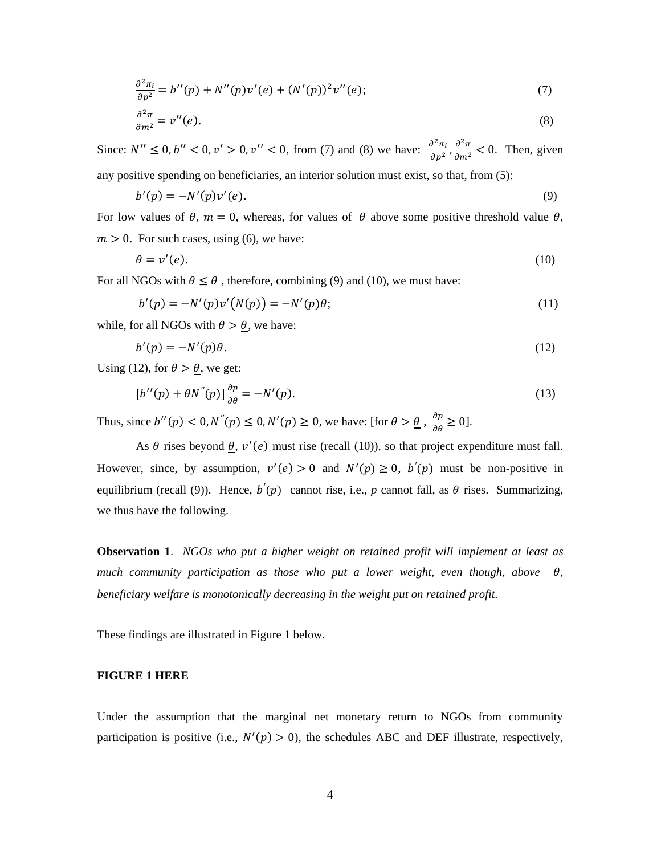$$
\frac{\partial^2 \pi_i}{\partial p^2} = b''(p) + N''(p)\nu'(e) + (N'(p))^2 \nu''(e); \tag{7}
$$

$$
\frac{\partial^2 \pi}{\partial m^2} = v''(e). \tag{8}
$$

Since:  $N'' \le 0, b'' < 0, v' > 0, v'' < 0$ , from (7) and (8) we have:  $\frac{\partial^2}{\partial x^2}$  $\frac{\partial^2 \pi_i}{\partial p^2}, \frac{\partial^2 \pi}{\partial m^2}$  < 0. Then, given

any positive spending on beneficiaries, an interior solution must exist, so that, from (5):

$$
b'(p) = -N'(p)v'(e). \tag{9}
$$

For low values of  $\theta$ ,  $m = 0$ , whereas, for values of  $\theta$  above some positive threshold value  $\theta$ ,  $m > 0$ . For such cases, using (6), we have:

$$
\theta = v'(e). \tag{10}
$$

For all NGOs with  $\theta \le \theta$ , therefore, combining (9) and (10), we must have:

$$
b'(p) = -N'(p)v'(N(p)) = -N'(p)\underline{\theta};\tag{11}
$$

while, for all NGOs with  $\theta > \theta$ , we have:

$$
b'(p) = -N'(p)\theta.
$$
 (12)

Using (12), for  $\theta > \theta$ , we get:

$$
[b''(p) + \theta N''(p)]\frac{\partial p}{\partial \theta} = -N'(p). \tag{13}
$$

Thus, since  $b''(p) < 0, N''(p) \le 0, N'(p) \ge 0$ , we have: [for  $\theta > \underline{\theta}$ ,  $\frac{\partial p}{\partial \theta} \ge 0$ ].

As  $\theta$  rises beyond  $\theta$ ,  $v'(\theta)$  must rise (recall (10)), so that project expenditure must fall. However, since, by assumption,  $v'(e) > 0$  and  $N'(p) \ge 0$ ,  $b'(p)$  must be non-positive in equilibrium (recall (9)). Hence,  $b'(p)$  cannot rise, i.e., *p* cannot fall, as  $\theta$  rises. Summarizing, we thus have the following.

**Observation 1**. *NGOs who put a higher weight on retained profit will implement at least as much community participation as those who put a lower weight, even though, above*  $\theta$ *, beneficiary welfare is monotonically decreasing in the weight put on retained profit.*

These findings are illustrated in Figure 1 below.

#### **FIGURE 1 HERE**

Under the assumption that the marginal net monetary return to NGOs from community participation is positive (i.e.,  $N'(p) > 0$ ), the schedules ABC and DEF illustrate, respectively,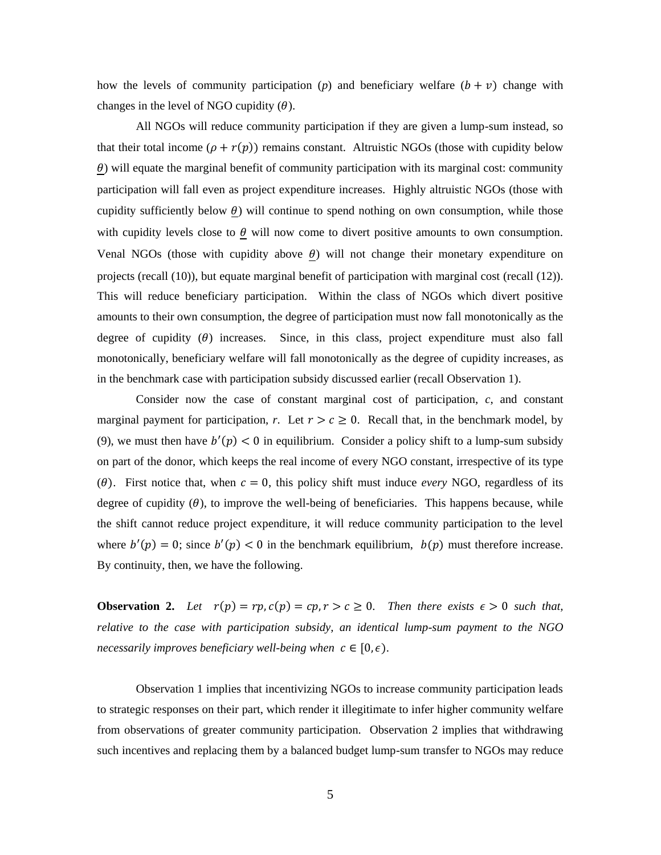how the levels of community participation (*p*) and beneficiary welfare  $(b + v)$  change with changes in the level of NGO cupidity  $(\theta)$ .

All NGOs will reduce community participation if they are given a lump-sum instead, so that their total income  $(\rho + r(p))$  remains constant. Altruistic NGOs (those with cupidity below  $\theta$ ) will equate the marginal benefit of community participation with its marginal cost: community participation will fall even as project expenditure increases. Highly altruistic NGOs (those with cupidity sufficiently below  $\theta$ ) will continue to spend nothing on own consumption, while those with cupidity levels close to  $\theta$  will now come to divert positive amounts to own consumption. Venal NGOs (those with cupidity above  $\theta$ ) will not change their monetary expenditure on projects (recall (10)), but equate marginal benefit of participation with marginal cost (recall (12)). This will reduce beneficiary participation. Within the class of NGOs which divert positive amounts to their own consumption, the degree of participation must now fall monotonically as the degree of cupidity  $(\theta)$  increases. Since, in this class, project expenditure must also fall monotonically, beneficiary welfare will fall monotonically as the degree of cupidity increases, as in the benchmark case with participation subsidy discussed earlier (recall Observation 1).

Consider now the case of constant marginal cost of participation, *c*, and constant marginal payment for participation, *r*. Let  $r > c \ge 0$ . Recall that, in the benchmark model, by (9), we must then have  $b'(p) < 0$  in equilibrium. Consider a policy shift to a lump-sum subsidy on part of the donor, which keeps the real income of every NGO constant, irrespective of its type ( $\theta$ ). First notice that, when  $c = 0$ , this policy shift must induce *every* NGO, regardless of its degree of cupidity  $(\theta)$ , to improve the well-being of beneficiaries. This happens because, while the shift cannot reduce project expenditure, it will reduce community participation to the level where  $b'(p) = 0$ ; since  $b'(p) < 0$  in the benchmark equilibrium,  $b(p)$  must therefore increase. By continuity, then, we have the following.

**Observation 2.** Let  $r(p) = rp$ ,  $c(p) = cp$ ,  $r > c \ge 0$ . Then there exists  $\epsilon > 0$  such that, *relative to the case with participation subsidy, an identical lump-sum payment to the NGO necessarily improves beneficiary well-being when*  $c \in [0, \epsilon)$ .

Observation 1 implies that incentivizing NGOs to increase community participation leads to strategic responses on their part, which render it illegitimate to infer higher community welfare from observations of greater community participation. Observation 2 implies that withdrawing such incentives and replacing them by a balanced budget lump-sum transfer to NGOs may reduce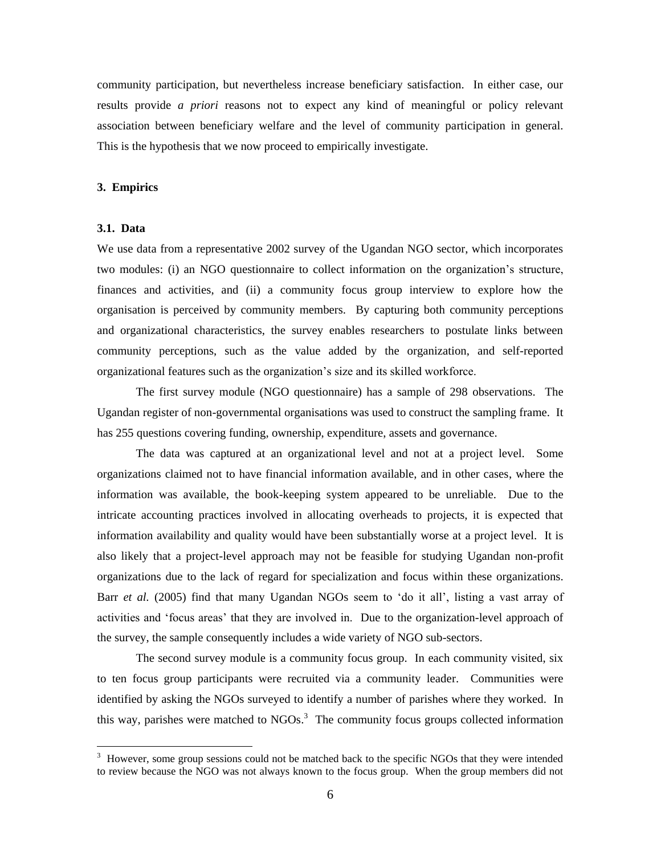community participation, but nevertheless increase beneficiary satisfaction. In either case, our results provide *a priori* reasons not to expect any kind of meaningful or policy relevant association between beneficiary welfare and the level of community participation in general. This is the hypothesis that we now proceed to empirically investigate.

#### **3. Empirics**

#### **3.1. Data**

We use data from a representative 2002 survey of the Ugandan NGO sector, which incorporates two modules: (i) an NGO questionnaire to collect information on the organization's structure, finances and activities, and (ii) a community focus group interview to explore how the organisation is perceived by community members. By capturing both community perceptions and organizational characteristics, the survey enables researchers to postulate links between community perceptions, such as the value added by the organization, and self-reported organizational features such as the organization's size and its skilled workforce.

The first survey module (NGO questionnaire) has a sample of 298 observations. The Ugandan register of non-governmental organisations was used to construct the sampling frame. It has 255 questions covering funding, ownership, expenditure, assets and governance.

The data was captured at an organizational level and not at a project level. Some organizations claimed not to have financial information available, and in other cases, where the information was available, the book-keeping system appeared to be unreliable. Due to the intricate accounting practices involved in allocating overheads to projects, it is expected that information availability and quality would have been substantially worse at a project level. It is also likely that a project-level approach may not be feasible for studying Ugandan non-profit organizations due to the lack of regard for specialization and focus within these organizations. Barr *et al.* (2005) find that many Ugandan NGOs seem to 'do it all', listing a vast array of activities and 'focus areas' that they are involved in. Due to the organization-level approach of the survey, the sample consequently includes a wide variety of NGO sub-sectors.

The second survey module is a community focus group. In each community visited, six to ten focus group participants were recruited via a community leader. Communities were identified by asking the NGOs surveyed to identify a number of parishes where they worked. In this way, parishes were matched to  $NGOs<sup>3</sup>$ . The community focus groups collected information

<sup>&</sup>lt;sup>3</sup> However, some group sessions could not be matched back to the specific NGOs that they were intended to review because the NGO was not always known to the focus group. When the group members did not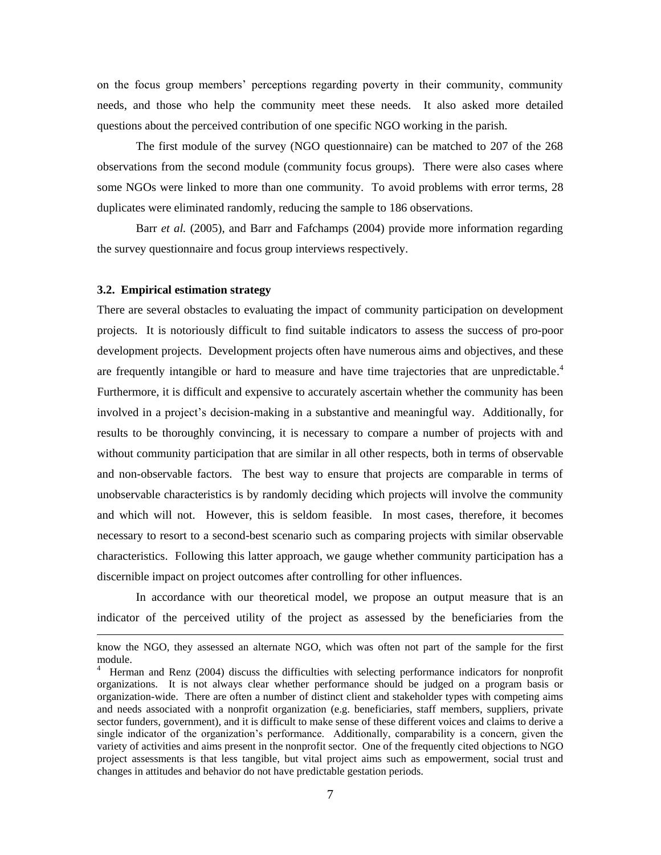on the focus group members' perceptions regarding poverty in their community, community needs, and those who help the community meet these needs. It also asked more detailed questions about the perceived contribution of one specific NGO working in the parish.

The first module of the survey (NGO questionnaire) can be matched to 207 of the 268 observations from the second module (community focus groups). There were also cases where some NGOs were linked to more than one community. To avoid problems with error terms, 28 duplicates were eliminated randomly, reducing the sample to 186 observations.

Barr *et al.* (2005), and Barr and Fafchamps (2004) provide more information regarding the survey questionnaire and focus group interviews respectively.

#### **3.2. Empirical estimation strategy**

 $\overline{a}$ 

There are several obstacles to evaluating the impact of community participation on development projects. It is notoriously difficult to find suitable indicators to assess the success of pro-poor development projects. Development projects often have numerous aims and objectives, and these are frequently intangible or hard to measure and have time trajectories that are unpredictable.<sup>4</sup> Furthermore, it is difficult and expensive to accurately ascertain whether the community has been involved in a project's decision-making in a substantive and meaningful way. Additionally, for results to be thoroughly convincing, it is necessary to compare a number of projects with and without community participation that are similar in all other respects, both in terms of observable and non-observable factors. The best way to ensure that projects are comparable in terms of unobservable characteristics is by randomly deciding which projects will involve the community and which will not. However, this is seldom feasible. In most cases, therefore, it becomes necessary to resort to a second-best scenario such as comparing projects with similar observable characteristics. Following this latter approach, we gauge whether community participation has a discernible impact on project outcomes after controlling for other influences.

In accordance with our theoretical model, we propose an output measure that is an indicator of the perceived utility of the project as assessed by the beneficiaries from the

know the NGO, they assessed an alternate NGO, which was often not part of the sample for the first module.

<sup>4</sup> Herman and Renz (2004) discuss the difficulties with selecting performance indicators for nonprofit organizations. It is not always clear whether performance should be judged on a program basis or organization-wide. There are often a number of distinct client and stakeholder types with competing aims and needs associated with a nonprofit organization (e.g. beneficiaries, staff members, suppliers, private sector funders, government), and it is difficult to make sense of these different voices and claims to derive a single indicator of the organization's performance. Additionally, comparability is a concern, given the variety of activities and aims present in the nonprofit sector. One of the frequently cited objections to NGO project assessments is that less tangible, but vital project aims such as empowerment, social trust and changes in attitudes and behavior do not have predictable gestation periods.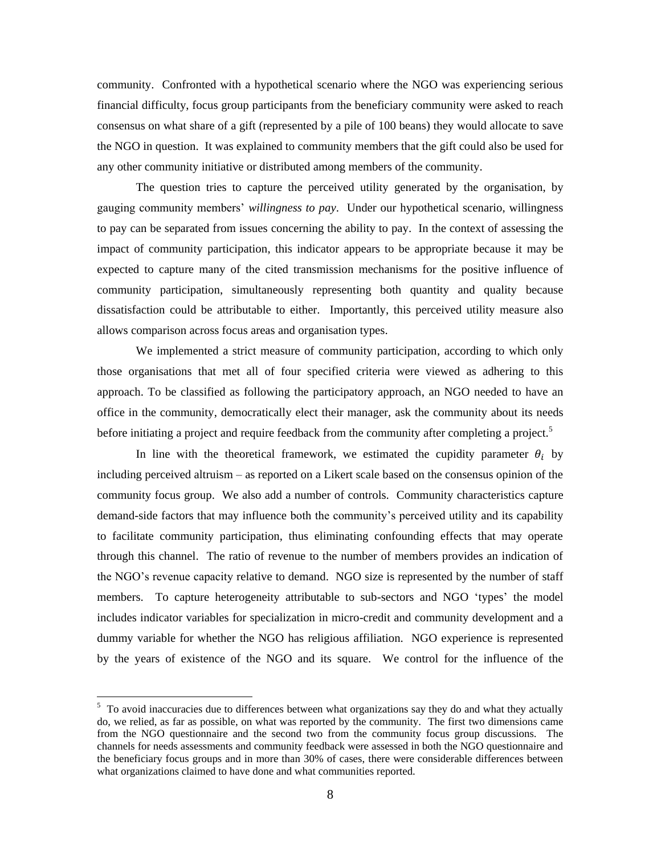community. Confronted with a hypothetical scenario where the NGO was experiencing serious financial difficulty, focus group participants from the beneficiary community were asked to reach consensus on what share of a gift (represented by a pile of 100 beans) they would allocate to save the NGO in question. It was explained to community members that the gift could also be used for any other community initiative or distributed among members of the community.

The question tries to capture the perceived utility generated by the organisation, by gauging community members' *willingness to pay*. Under our hypothetical scenario, willingness to pay can be separated from issues concerning the ability to pay. In the context of assessing the impact of community participation, this indicator appears to be appropriate because it may be expected to capture many of the cited transmission mechanisms for the positive influence of community participation, simultaneously representing both quantity and quality because dissatisfaction could be attributable to either. Importantly, this perceived utility measure also allows comparison across focus areas and organisation types.

We implemented a strict measure of community participation, according to which only those organisations that met all of four specified criteria were viewed as adhering to this approach. To be classified as following the participatory approach, an NGO needed to have an office in the community, democratically elect their manager, ask the community about its needs before initiating a project and require feedback from the community after completing a project.<sup>5</sup>

In line with the theoretical framework, we estimated the cupidity parameter  $\theta_i$  by including perceived altruism – as reported on a Likert scale based on the consensus opinion of the community focus group. We also add a number of controls. Community characteristics capture demand-side factors that may influence both the community's perceived utility and its capability to facilitate community participation, thus eliminating confounding effects that may operate through this channel. The ratio of revenue to the number of members provides an indication of the NGO's revenue capacity relative to demand. NGO size is represented by the number of staff members. To capture heterogeneity attributable to sub-sectors and NGO 'types' the model includes indicator variables for specialization in micro-credit and community development and a dummy variable for whether the NGO has religious affiliation. NGO experience is represented by the years of existence of the NGO and its square. We control for the influence of the

 $\overline{a}$ 

 $5$  To avoid inaccuracies due to differences between what organizations say they do and what they actually do, we relied, as far as possible, on what was reported by the community. The first two dimensions came from the NGO questionnaire and the second two from the community focus group discussions. The channels for needs assessments and community feedback were assessed in both the NGO questionnaire and the beneficiary focus groups and in more than 30% of cases, there were considerable differences between what organizations claimed to have done and what communities reported.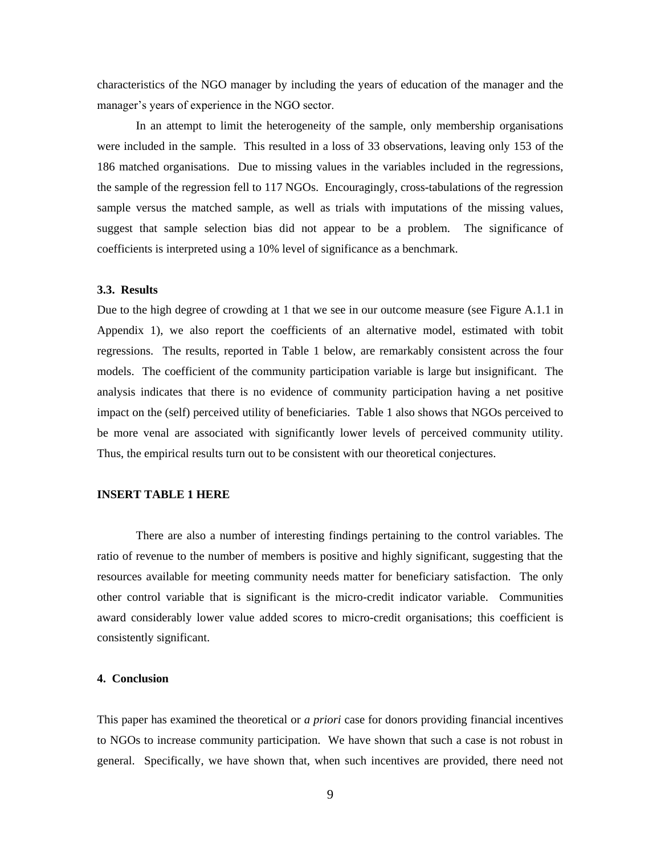characteristics of the NGO manager by including the years of education of the manager and the manager's years of experience in the NGO sector.

In an attempt to limit the heterogeneity of the sample, only membership organisations were included in the sample. This resulted in a loss of 33 observations, leaving only 153 of the 186 matched organisations. Due to missing values in the variables included in the regressions, the sample of the regression fell to 117 NGOs. Encouragingly, cross-tabulations of the regression sample versus the matched sample, as well as trials with imputations of the missing values, suggest that sample selection bias did not appear to be a problem. The significance of coefficients is interpreted using a 10% level of significance as a benchmark.

#### **3.3. Results**

Due to the high degree of crowding at 1 that we see in our outcome measure (see Figure A.1.1 in Appendix 1), we also report the coefficients of an alternative model, estimated with tobit regressions. The results, reported in Table 1 below, are remarkably consistent across the four models. The coefficient of the community participation variable is large but insignificant. The analysis indicates that there is no evidence of community participation having a net positive impact on the (self) perceived utility of beneficiaries. Table 1 also shows that NGOs perceived to be more venal are associated with significantly lower levels of perceived community utility. Thus, the empirical results turn out to be consistent with our theoretical conjectures.

#### **INSERT TABLE 1 HERE**

There are also a number of interesting findings pertaining to the control variables. The ratio of revenue to the number of members is positive and highly significant, suggesting that the resources available for meeting community needs matter for beneficiary satisfaction. The only other control variable that is significant is the micro-credit indicator variable. Communities award considerably lower value added scores to micro-credit organisations; this coefficient is consistently significant.

#### **4. Conclusion**

This paper has examined the theoretical or *a priori* case for donors providing financial incentives to NGOs to increase community participation. We have shown that such a case is not robust in general. Specifically, we have shown that, when such incentives are provided, there need not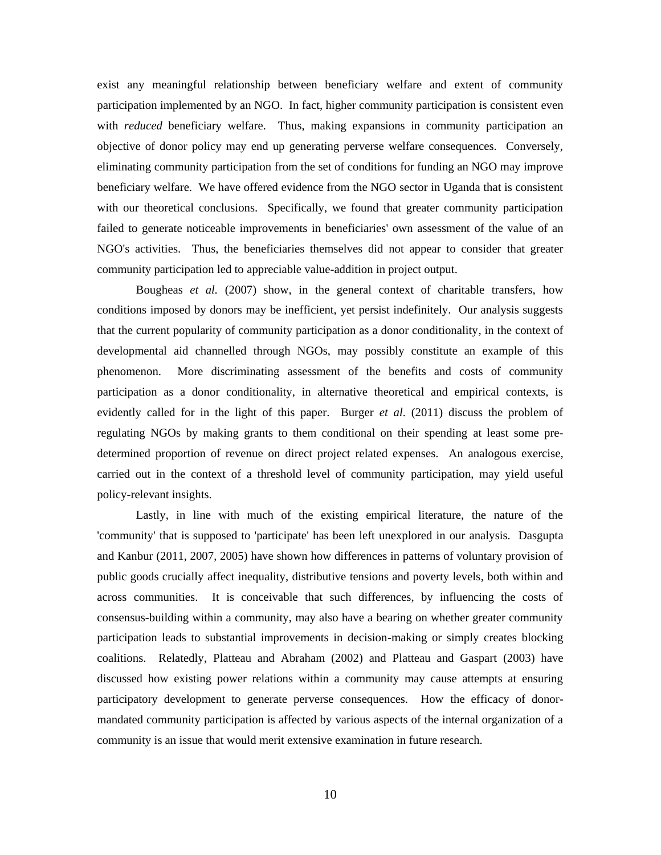exist any meaningful relationship between beneficiary welfare and extent of community participation implemented by an NGO. In fact, higher community participation is consistent even with *reduced* beneficiary welfare. Thus, making expansions in community participation an objective of donor policy may end up generating perverse welfare consequences. Conversely, eliminating community participation from the set of conditions for funding an NGO may improve beneficiary welfare. We have offered evidence from the NGO sector in Uganda that is consistent with our theoretical conclusions. Specifically, we found that greater community participation failed to generate noticeable improvements in beneficiaries' own assessment of the value of an NGO's activities. Thus, the beneficiaries themselves did not appear to consider that greater community participation led to appreciable value-addition in project output.

Bougheas *et al.* (2007) show, in the general context of charitable transfers, how conditions imposed by donors may be inefficient, yet persist indefinitely. Our analysis suggests that the current popularity of community participation as a donor conditionality, in the context of developmental aid channelled through NGOs, may possibly constitute an example of this phenomenon. More discriminating assessment of the benefits and costs of community participation as a donor conditionality, in alternative theoretical and empirical contexts, is evidently called for in the light of this paper. Burger *et al*. (2011) discuss the problem of regulating NGOs by making grants to them conditional on their spending at least some predetermined proportion of revenue on direct project related expenses. An analogous exercise, carried out in the context of a threshold level of community participation, may yield useful policy-relevant insights.

Lastly, in line with much of the existing empirical literature, the nature of the 'community' that is supposed to 'participate' has been left unexplored in our analysis. Dasgupta and Kanbur (2011, 2007, 2005) have shown how differences in patterns of voluntary provision of public goods crucially affect inequality, distributive tensions and poverty levels, both within and across communities. It is conceivable that such differences, by influencing the costs of consensus-building within a community, may also have a bearing on whether greater community participation leads to substantial improvements in decision-making or simply creates blocking coalitions. Relatedly, Platteau and Abraham (2002) and Platteau and Gaspart (2003) have discussed how existing power relations within a community may cause attempts at ensuring participatory development to generate perverse consequences. How the efficacy of donormandated community participation is affected by various aspects of the internal organization of a community is an issue that would merit extensive examination in future research.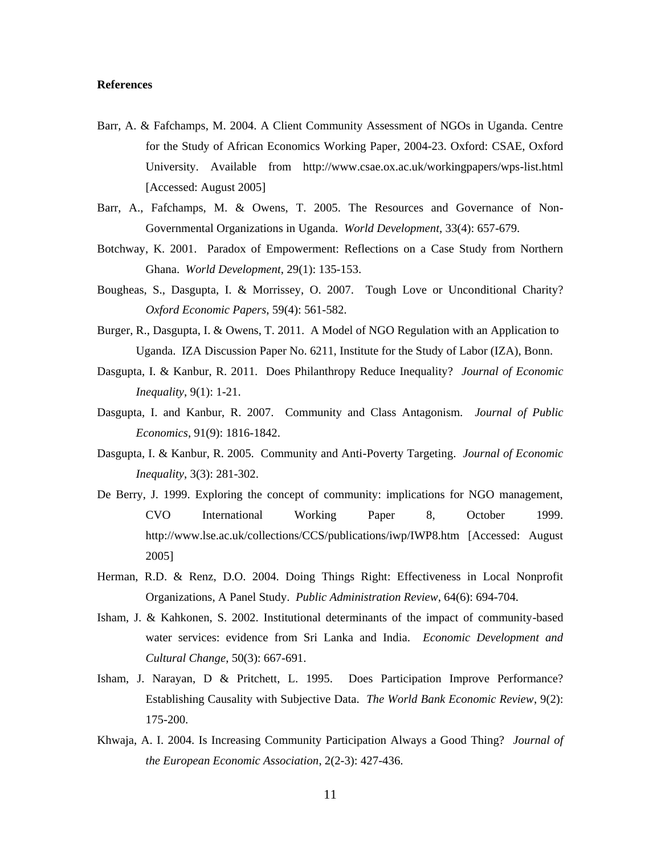#### **References**

- Barr, A. & Fafchamps, M. 2004. A Client Community Assessment of NGOs in Uganda. Centre for the Study of African Economics Working Paper, 2004-23. Oxford: CSAE, Oxford University. Available from http://www.csae.ox.ac.uk/workingpapers/wps-list.html [Accessed: August 2005]
- Barr, A., Fafchamps, M. & Owens, T. 2005. The Resources and Governance of Non-Governmental Organizations in Uganda. *World Development*, 33(4): 657-679.
- Botchway, K. 2001. Paradox of Empowerment: Reflections on a Case Study from Northern Ghana. *World Development*, 29(1): 135-153.
- Bougheas, S., Dasgupta, I. & Morrissey, O. 2007. Tough Love or Unconditional Charity? *Oxford Economic Papers*, 59(4): 561-582.
- Burger, R., Dasgupta, I. & Owens, T. 2011. A Model of NGO Regulation with an Application to Uganda. IZA Discussion Paper No. 6211, Institute for the Study of Labor (IZA), Bonn.
- Dasgupta, I. & Kanbur, R. 2011. Does Philanthropy Reduce Inequality? *Journal of Economic Inequality*, 9(1): 1-21.
- Dasgupta, I. and Kanbur, R. 2007. Community and Class Antagonism. *Journal of Public Economics*, 91(9): 1816-1842.
- Dasgupta, I. & Kanbur, R. 2005. Community and Anti-Poverty Targeting. *Journal of Economic Inequality*, 3(3): 281-302.
- De Berry, J. 1999. Exploring the concept of community: implications for NGO management, CVO International Working Paper 8, October 1999. http://www.lse.ac.uk/collections/CCS/publications/iwp/IWP8.htm [Accessed: August 2005]
- Herman, R.D. & Renz, D.O. 2004. Doing Things Right: Effectiveness in Local Nonprofit Organizations, A Panel Study. *Public Administration Review*, 64(6): 694-704.
- Isham, J. & Kahkonen, S. 2002. Institutional determinants of the impact of community-based water services: evidence from Sri Lanka and India. *Economic Development and Cultural Change*, 50(3): 667-691.
- Isham, J. Narayan, D & Pritchett, L. 1995. Does Participation Improve Performance? Establishing Causality with Subjective Data. *The World Bank Economic Review*, 9(2): 175-200.
- Khwaja, A. I. 2004. Is Increasing Community Participation Always a Good Thing? *Journal of the European Economic Association*, 2(2-3): 427-436.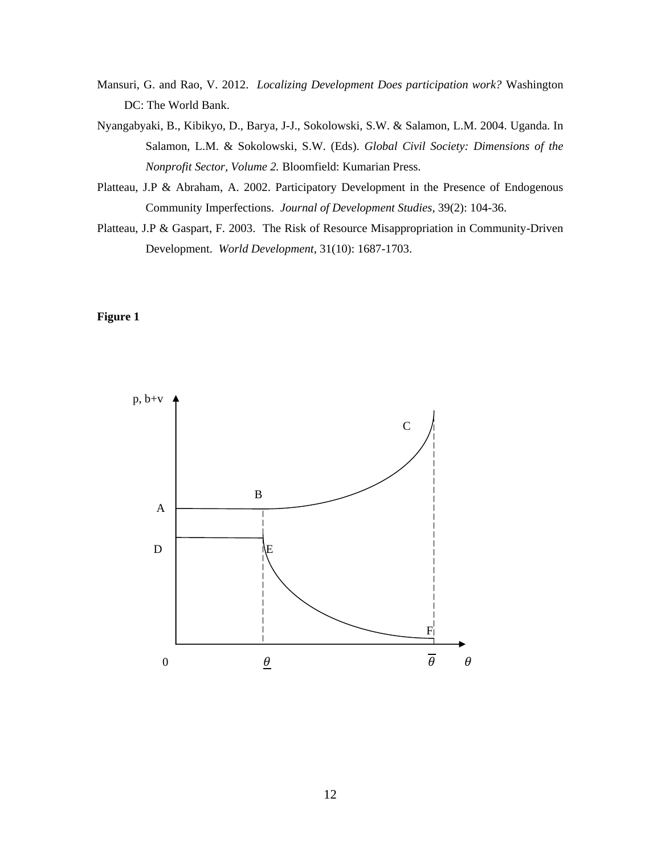- Mansuri, G. and Rao, V. 2012. *Localizing Development Does participation work?* Washington DC: The World Bank.
- Nyangabyaki, B., Kibikyo, D., Barya, J-J., Sokolowski, S.W. & Salamon, L.M. 2004. Uganda. In Salamon, L.M. & Sokolowski, S.W. (Eds). *Global Civil Society: Dimensions of the Nonprofit Sector, Volume 2.* Bloomfield: Kumarian Press.
- Platteau, J.P & Abraham, A. 2002. Participatory Development in the Presence of Endogenous Community Imperfections. *Journal of Development Studies*, 39(2): 104-36.
- Platteau, J.P & Gaspart, F. 2003. The Risk of Resource Misappropriation in Community-Driven Development. *World Development*, 31(10): 1687-1703.

#### **Figure 1**

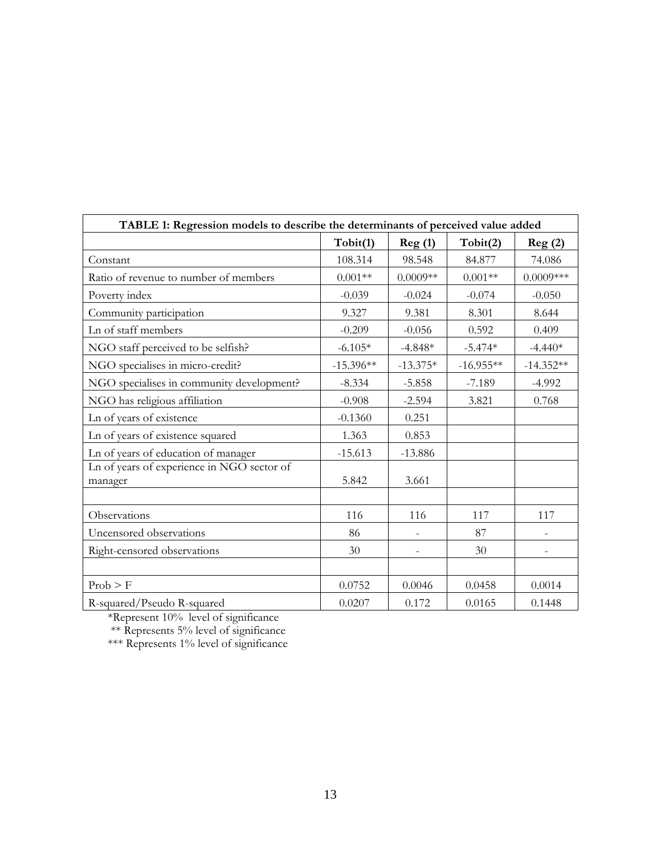| TABLE 1: Regression models to describe the determinants of perceived value added |             |                          |             |                   |  |  |  |
|----------------------------------------------------------------------------------|-------------|--------------------------|-------------|-------------------|--|--|--|
|                                                                                  | Tobit(1)    | Reg(1)                   | Tobit(2)    | Reg(2)            |  |  |  |
| Constant                                                                         | 108.314     | 98.548                   | 84.877      | 74.086            |  |  |  |
| Ratio of revenue to number of members                                            | $0.001**$   | $0.0009**$               | $0.001**$   | $0.0009***$       |  |  |  |
| Poverty index                                                                    | $-0.039$    | $-0.024$                 | $-0.074$    | $-0.050$          |  |  |  |
| Community participation                                                          | 9.327       | 9.381                    | 8.301       | 8.644             |  |  |  |
| Ln of staff members                                                              | $-0.209$    | $-0.056$                 | 0.592       | 0.409             |  |  |  |
| NGO staff perceived to be selfish?                                               | $-6.105*$   | $-4.848*$                | $-5.474*$   | $-4.440*$         |  |  |  |
| NGO specialises in micro-credit?                                                 | $-15.396**$ | $-13.375*$               | $-16.955**$ | $-14.352**$       |  |  |  |
| NGO specialises in community development?                                        | $-8.334$    | $-5.858$                 | $-7.189$    | $-4.992$          |  |  |  |
| NGO has religious affiliation                                                    | $-0.908$    | $-2.594$                 | 3.821       | 0.768             |  |  |  |
| Ln of years of existence                                                         | $-0.1360$   | 0.251                    |             |                   |  |  |  |
| Ln of years of existence squared                                                 | 1.363       | 0.853                    |             |                   |  |  |  |
| Ln of years of education of manager                                              | $-15.613$   | $-13.886$                |             |                   |  |  |  |
| Ln of years of experience in NGO sector of<br>manager                            | 5.842       | 3.661                    |             |                   |  |  |  |
| Observations                                                                     | 116         | 116                      | 117         | 117               |  |  |  |
| Uncensored observations                                                          | 86          | $\overline{\phantom{a}}$ | 87          | $\qquad \qquad -$ |  |  |  |
| Right-censored observations                                                      | 30          |                          | 30          | $\overline{a}$    |  |  |  |
|                                                                                  |             |                          |             |                   |  |  |  |
| Prob > F                                                                         | 0.0752      | 0.0046                   | 0.0458      | 0.0014            |  |  |  |
| R-squared/Pseudo R-squared                                                       | 0.0207      | 0.172                    | 0.0165      | 0.1448            |  |  |  |

\*Represent 10% level of significance

\*\* Represents 5% level of significance

\*\*\* Represents 1% level of significance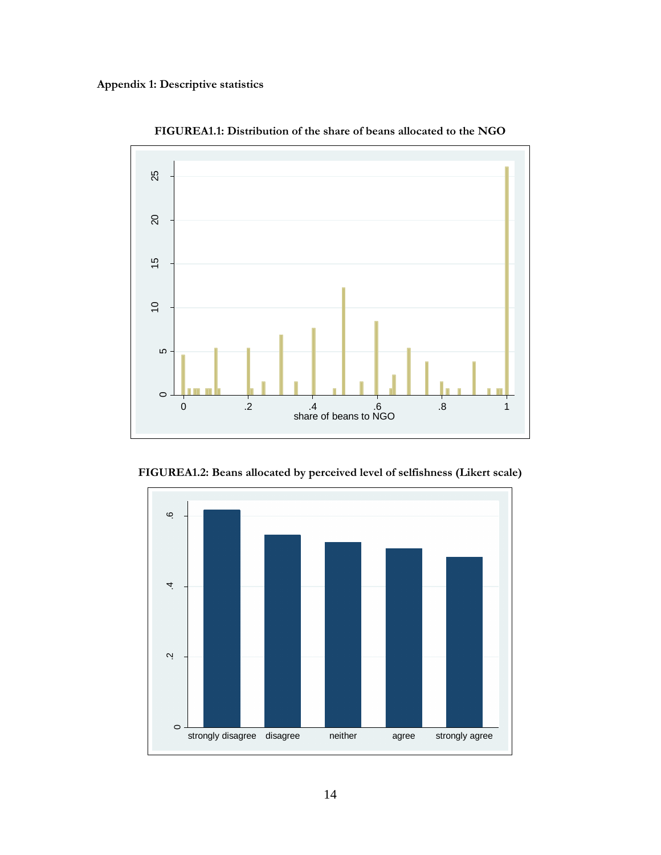

**FIGUREA1.1: Distribution of the share of beans allocated to the NGO**

**FIGUREA1.2: Beans allocated by perceived level of selfishness (Likert scale)**

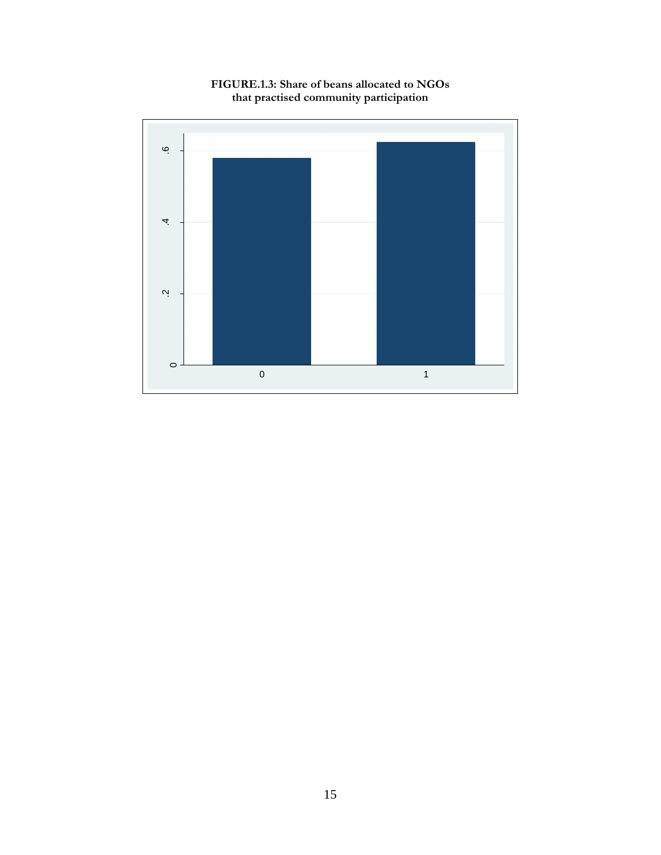

**FIGURE.1.3: Share of beans allocated to NGOs that practised community participation**